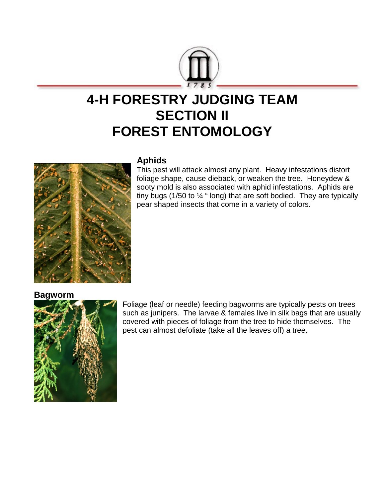

# **4-H FORESTRY JUDGING TEAM SECTION II FOREST ENTOMOLOGY**



## **Aphids**

This pest will attack almost any plant. Heavy infestations distort foliage shape, cause dieback, or weaken the tree. Honeydew & sooty mold is also associated with aphid infestations. Aphids are tiny bugs (1/50 to ¼ " long) that are soft bodied. They are typically pear shaped insects that come in a variety of colors.

#### **Bagworm**



Foliage (leaf or needle) feeding bagworms are typically pests on trees such as junipers. The larvae & females live in silk bags that are usually covered with pieces of foliage from the tree to hide themselves. The pest can almost defoliate (take all the leaves off) a tree.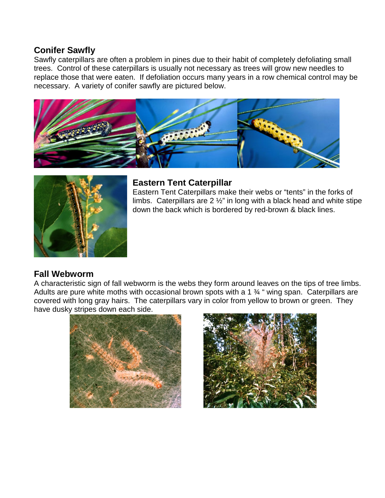### **Conifer Sawfly**

Sawfly caterpillars are often a problem in pines due to their habit of completely defoliating small trees. Control of these caterpillars is usually not necessary as trees will grow new needles to replace those that were eaten. If defoliation occurs many years in a row chemical control may be necessary. A variety of conifer sawfly are pictured below.





## **Eastern Tent Caterpillar**

Eastern Tent Caterpillars make their webs or "tents" in the forks of limbs. Caterpillars are 2 ½" in long with a black head and white stipe down the back which is bordered by red-brown & black lines.

# **Fall Webworm**

A characteristic sign of fall webworm is the webs they form around leaves on the tips of tree limbs. Adults are pure white moths with occasional brown spots with a 1 34 " wing span. Caterpillars are covered with long gray hairs. The caterpillars vary in color from yellow to brown or green. They have dusky stripes down each side.



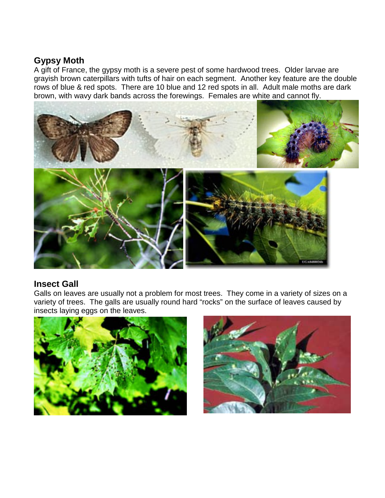## **Gypsy Moth**

A gift of France, the gypsy moth is a severe pest of some hardwood trees. Older larvae are grayish brown caterpillars with tufts of hair on each segment. Another key feature are the double rows of blue & red spots. There are 10 blue and 12 red spots in all. Adult male moths are dark brown, with wavy dark bands across the forewings. Females are white and cannot fly.



#### **Insect Gall**

Galls on leaves are usually not a problem for most trees. They come in a variety of sizes on a variety of trees. The galls are usually round hard "rocks" on the surface of leaves caused by insects laying eggs on the leaves.



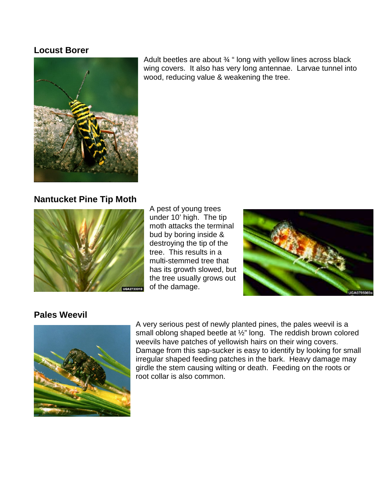#### **Locust Borer**



Adult beetles are about ¾ " long with yellow lines across black wing covers. It also has very long antennae. Larvae tunnel into wood, reducing value & weakening the tree.

### **Nantucket Pine Tip Moth**



A pest of young trees under 10' high. The tip moth attacks the terminal bud by boring inside & destroying the tip of the tree. This results in a multi-stemmed tree that has its growth slowed, but the tree usually grows out of the damage.



#### **Pales Weevil**



A very serious pest of newly planted pines, the pales weevil is a small oblong shaped beetle at ½" long. The reddish brown colored weevils have patches of yellowish hairs on their wing covers. Damage from this sap-sucker is easy to identify by looking for small irregular shaped feeding patches in the bark. Heavy damage may girdle the stem causing wilting or death. Feeding on the roots or root collar is also common.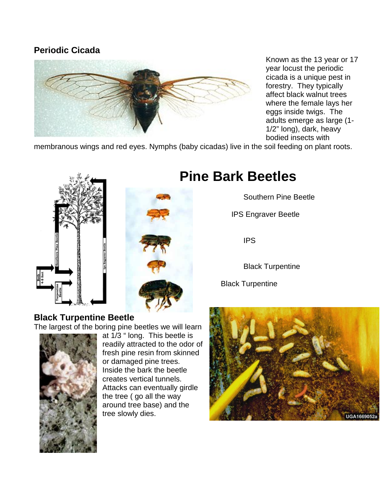# **Periodic Cicada**



Known as the 13 year or 17 year locust the periodic cicada is a unique pest in forestry. They typically affect black walnut trees where the female lays her eggs inside twigs. The adults emerge as large (1- 1/2" long), dark, heavy bodied insects with

membranous wings and red eyes. Nymphs (baby cicadas) live in the soil feeding on plant roots.





# **Pine Bark Beetles**

Southern Pine Beetle

IPS Engraver Beetle

IPS

Black Turpentine

Black Turpentine

# **Black Turpentine Beetle**

The largest of the boring pine beetles we will learn



at 1/3 " long. This beetle is readily attracted to the odor of fresh pine resin from skinned or damaged pine trees. Inside the bark the beetle creates vertical tunnels. Attacks can eventually girdle the tree ( go all the way around tree base) and the tree slowly dies.

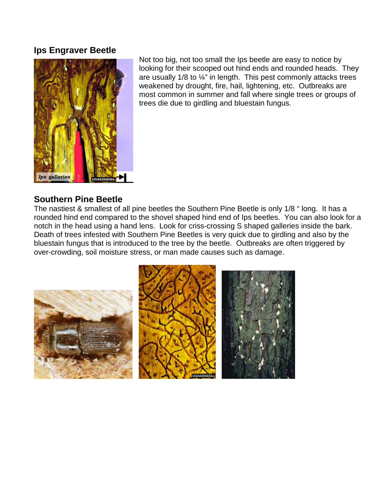#### **Ips Engraver Beetle**



Not too big, not too small the Ips beetle are easy to notice by looking for their scooped out hind ends and rounded heads. They are usually 1/8 to ¼" in length. This pest commonly attacks trees weakened by drought, fire, hail, lightening, etc. Outbreaks are most common in summer and fall where single trees or groups of trees die due to girdling and bluestain fungus.

#### **Southern Pine Beetle**

The nastiest & smallest of all pine beetles the Southern Pine Beetle is only 1/8 " long. It has a rounded hind end compared to the shovel shaped hind end of Ips beetles. You can also look for a notch in the head using a hand lens. Look for criss-crossing S shaped galleries inside the bark. Death of trees infested with Southern Pine Beetles is very quick due to girdling and also by the bluestain fungus that is introduced to the tree by the beetle. Outbreaks are often triggered by over-crowding, soil moisture stress, or man made causes such as damage.